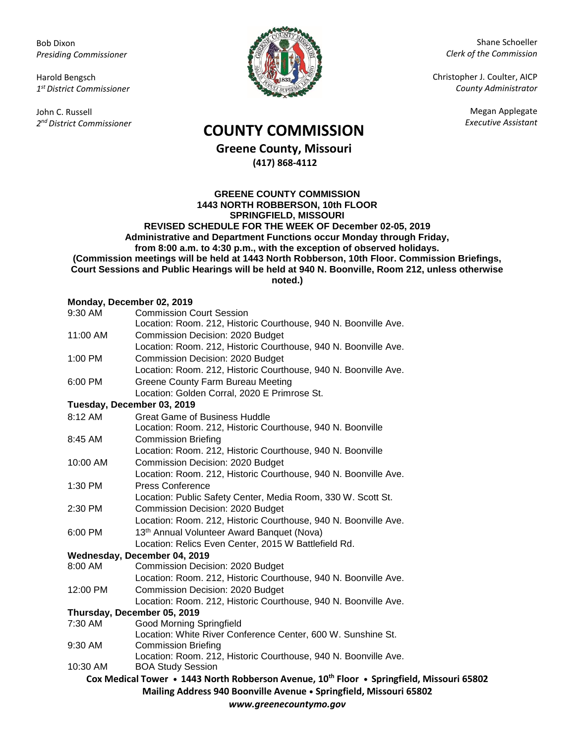Bob Dixon *Presiding Commissioner*

Harold Bengsch *1 st District Commissioner*

John C. Russell *2 nd District Commissioner*



Shane Schoeller *Clerk of the Commission*

Christopher J. Coulter, AICP *County Administrator*

Megan Applegate

## *Executive Assistant* **COUNTY COMMISSION**

**Greene County, Missouri (417) 868-4112**

**GREENE COUNTY COMMISSION 1443 NORTH ROBBERSON, 10th FLOOR SPRINGFIELD, MISSOURI REVISED SCHEDULE FOR THE WEEK OF December 02-05, 2019 Administrative and Department Functions occur Monday through Friday, from 8:00 a.m. to 4:30 p.m., with the exception of observed holidays. (Commission meetings will be held at 1443 North Robberson, 10th Floor. Commission Briefings, Court Sessions and Public Hearings will be held at 940 N. Boonville, Room 212, unless otherwise noted.)**

## **Monday, December 02, 2019**

| 9:30 AM                                                            | <b>Commission Court Session</b>                                                                       |  |
|--------------------------------------------------------------------|-------------------------------------------------------------------------------------------------------|--|
|                                                                    | Location: Room. 212, Historic Courthouse, 940 N. Boonville Ave.                                       |  |
| 11:00 AM                                                           | Commission Decision: 2020 Budget                                                                      |  |
|                                                                    | Location: Room. 212, Historic Courthouse, 940 N. Boonville Ave.                                       |  |
| 1:00 PM                                                            | Commission Decision: 2020 Budget                                                                      |  |
|                                                                    | Location: Room. 212, Historic Courthouse, 940 N. Boonville Ave.                                       |  |
| 6:00 PM                                                            | <b>Greene County Farm Bureau Meeting</b>                                                              |  |
|                                                                    | Location: Golden Corral, 2020 E Primrose St.                                                          |  |
|                                                                    | Tuesday, December 03, 2019                                                                            |  |
| 8:12 AM                                                            | <b>Great Game of Business Huddle</b>                                                                  |  |
|                                                                    | Location: Room. 212, Historic Courthouse, 940 N. Boonville                                            |  |
| 8:45 AM                                                            | <b>Commission Briefing</b>                                                                            |  |
|                                                                    | Location: Room. 212, Historic Courthouse, 940 N. Boonville                                            |  |
| 10:00 AM                                                           | Commission Decision: 2020 Budget                                                                      |  |
|                                                                    | Location: Room. 212, Historic Courthouse, 940 N. Boonville Ave.                                       |  |
| 1:30 PM                                                            | <b>Press Conference</b>                                                                               |  |
|                                                                    | Location: Public Safety Center, Media Room, 330 W. Scott St.                                          |  |
| 2:30 PM                                                            | Commission Decision: 2020 Budget                                                                      |  |
|                                                                    | Location: Room. 212, Historic Courthouse, 940 N. Boonville Ave.                                       |  |
| 6:00 PM                                                            | 13th Annual Volunteer Award Banquet (Nova)                                                            |  |
|                                                                    | Location: Relics Even Center, 2015 W Battlefield Rd.                                                  |  |
|                                                                    | Wednesday, December 04, 2019                                                                          |  |
| 8:00 AM                                                            | Commission Decision: 2020 Budget                                                                      |  |
|                                                                    | Location: Room. 212, Historic Courthouse, 940 N. Boonville Ave.                                       |  |
| 12:00 PM                                                           | Commission Decision: 2020 Budget                                                                      |  |
|                                                                    | Location: Room. 212, Historic Courthouse, 940 N. Boonville Ave.                                       |  |
|                                                                    | Thursday, December 05, 2019                                                                           |  |
| 7:30 AM                                                            | <b>Good Morning Springfield</b>                                                                       |  |
|                                                                    | Location: White River Conference Center, 600 W. Sunshine St.                                          |  |
| 9:30 AM                                                            | <b>Commission Briefing</b><br>Location: Room. 212, Historic Courthouse, 940 N. Boonville Ave.         |  |
| 10:30 AM                                                           | <b>BOA Study Session</b>                                                                              |  |
|                                                                    | Cox Medical Tower • 1443 North Robberson Avenue, 10 <sup>th</sup> Floor • Springfield, Missouri 65802 |  |
| Mailing Address 940 Boonville Avenue . Springfield, Missouri 65802 |                                                                                                       |  |
|                                                                    |                                                                                                       |  |
| www.greenecountymo.gov                                             |                                                                                                       |  |